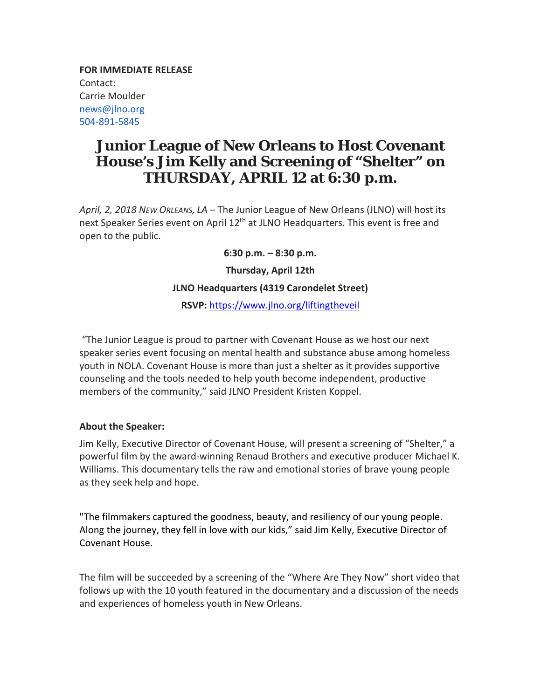**FOR IMMEDIATE RELEASE** Contact: Carrie Moulder news@jlno.org 504‐891‐5845

## **Junior League of New Orleans to Host Covenant House's Jim Kelly and Screening of "Shelter" on THURSDAY, APRIL 12 at 6:30 p.m.**

*April, 2, 2018 NEW ORLEANS, LA* – The Junior League of New Orleans (JLNO) will host its next Speaker Series event on April 12<sup>th</sup> at JLNO Headquarters. This event is free and open to the public.

**6:30 p.m. – 8:30 p.m.**

**Thursday, April 12th**

## **JLNO Headquarters (4319 Carondelet Street)**

**RSVP:** https://www.jlno.org/liftingtheveil

"The Junior League is proud to partner with Covenant House as we host our next speaker series event focusing on mental health and substance abuse among homeless youth in NOLA. Covenant House is more than just a shelter as it provides supportive counseling and the tools needed to help youth become independent, productive members of the community," said JLNO President Kristen Koppel.

## **About the Speaker:**

Jim Kelly, Executive Director of Covenant House, will present a screening of "Shelter," a powerful film by the award‐winning Renaud Brothers and executive producer Michael K. Williams. This documentary tells the raw and emotional stories of brave young people as they seek help and hope.

"The filmmakers captured the goodness, beauty, and resiliency of our young people. Along the journey, they fell in love with our kids," said Jim Kelly, Executive Director of Covenant House.

The film will be succeeded by a screening of the "Where Are They Now" short video that follows up with the 10 youth featured in the documentary and a discussion of the needs and experiences of homeless youth in New Orleans.